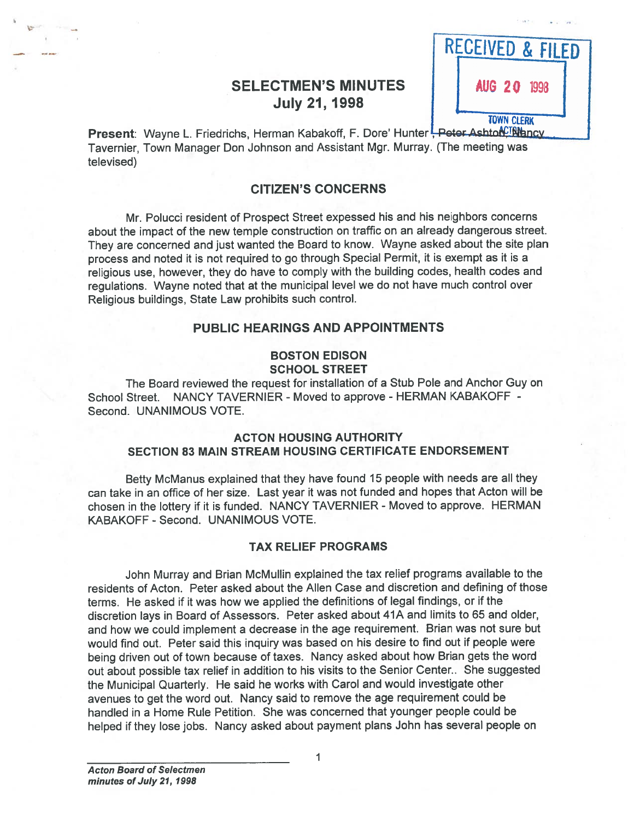# SELECTMEN'S MINUTES **I FFAUG 20 1998 July 21, 1998**



Present: Wayne L. Friedrichs, Herman Kabakoff, F. Dore' Hunter Feter AshtonCTR hncv Tavernier, Town Manager Don Johnson and Assistant Mgr. Murray. (The meeting was televised)

## CITIZEN'S CONCERNS

Mr. Polucci resident of Prospect Street expessed his and his neighbors concerns about the impact of the new temple construction on traffic on an already dangerous street. They are concerned and just wanted the Board to know. Wayne asked about the site <sup>p</sup>lan process and noted it is not required to go through Special Permit, it is exemp<sup>t</sup> as it is <sup>a</sup> religious use, however, they do have to comply with the building codes, health codes and regulations. Wayne noted that at the municipal level we do not have much control over Religious buildings, State Law prohibits such control.

## PUBLIC HEARINGS AND APPOINTMENTS

## BOSTON EDISON SCHOOL STREET

The Board reviewed the reques<sup>t</sup> for installation of <sup>a</sup> Stub Pole and Anchor Guy on School Street. NANCY TAVERNIER - Moved to approve - HERMAN KABAKOFF - Second. UNANIMOUS VOTE.

## ACTON HOUSING AUTHORITY SECTION 83 MAIN STREAM HOUSING CERTIFICATE ENDORSEMENT

Betty McManus explained that they have found <sup>15</sup> people with needs are all they can take in an office of her size. Last year it was not funded and hopes that Acton will be chosen in the lottery if it is funded. NANCY TAVERNIER - Moved to approve. HERMAN KABAKOFF - Second. UNANIMOUS VOTE.

### TAX RELIEF PROGRAMS

John Murray and Brian McMullin explained the tax relief programs available to the residents of Acton. Peter asked about the Allen Case and discretion and defining of those terms. He asked if it was how we applied the definitions of legal findings, or if the discretion lays in Board of Assessors. Peter asked about 41A and limits to <sup>65</sup> and older, and how we could implement <sup>a</sup> decrease in the age requirement. Brian was not sure but would find out. Peter said this inquiry was based on his desire to find out if people were being driven out of town because of taxes. Nancy asked about how Brian gets the word out about possible tax relief in addition to his visits to the Senior Center.. She suggested the Municipal Quarterly. He said he works with Carol and would investigate other avenues to ge<sup>t</sup> the word out. Nancy said to remove the age requirement could be handled in <sup>a</sup> Home Rule Petition. She was concerned that younger people could be helped if they lose jobs. Nancy asked about paymen<sup>t</sup> <sup>p</sup>lans John has several people on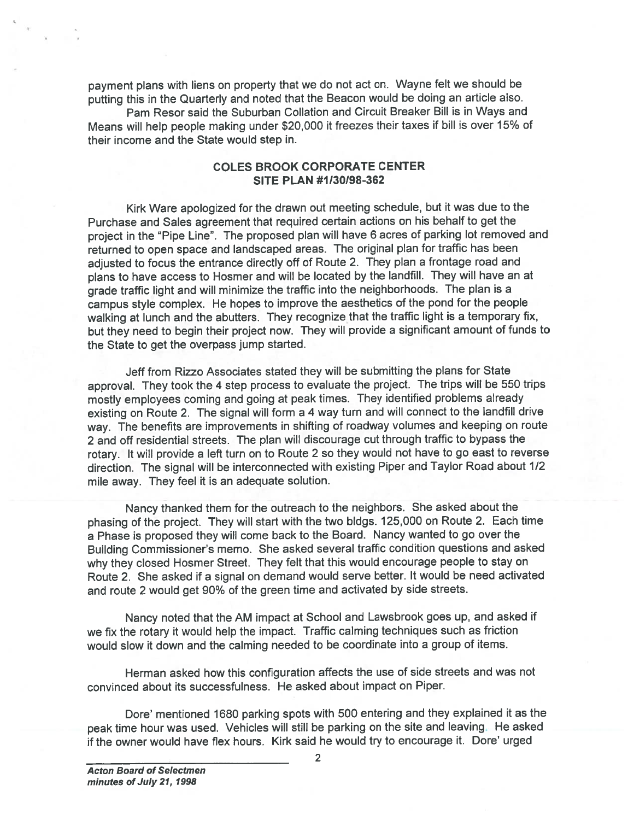paymen<sup>t</sup> <sup>p</sup>lans with liens on property that we do not act on. Wayne felt we should be putting this in the Quarterly and noted that the Beacon would be doing an article also.

Pam Resor said the Suburban Collation and Circuit Breaker Bill is in Ways and Means will help people making under \$20,000 it freezes their taxes if bill is over 15% of their income and the State would step in.

## COLES BROOK CORPORATE CENTER SITE PLAN #1/30/98-362

Kirk Ware apologized for the drawn out meeting schedule, but it was due to the Purchase and Sales agreemen<sup>t</sup> that required certain actions on his behalf to ge<sup>t</sup> the project in the 'Pipe Line". The propose<sup>d</sup> <sup>p</sup>lan will have <sup>6</sup> acres of parking lot removed and returned to open space and landscaped areas. The original <sup>p</sup>lan for traffic has been adjusted to focus the entrance directly off of Route 2. They <sup>p</sup>lan <sup>a</sup> frontage road and <sup>p</sup>lans to have access to Hosmer and will be located by the landfill. They will have an at grade traffic light and will minimize the traffic into the neighborhoods. The <sup>p</sup>lan is <sup>a</sup> campus style complex. He hopes to improve the aesthetics of the pon<sup>d</sup> for the people walking at lunch and the abutters. They recognize that the traffic light is <sup>a</sup> temporary fix, but they need to begin their project now. They will provide <sup>a</sup> significant amount of funds to the State to ge<sup>t</sup> the overpass jump started. payment plans with liens on property that we do not act on. Wayne felt we should be<br>plan in the Curantery and note that the Beson would be dored an article as<br>observed to the simulate it. Dependent would have been would be

Jeff from Rizzo Associates stated they will be submitting the <sup>p</sup>lans for State approval. They took the <sup>4</sup> step process to evaluate the project. The trips will be <sup>550</sup> trips mostly employees coming and going at pea<sup>k</sup> times. They identified problems already existing on Route 2. The signal will form <sup>a</sup> <sup>4</sup> way turn and will connect to the landfill drive way. The benefits are improvements in shifting of roadway volumes and keeping on route <sup>2</sup> and off residential streets. The <sup>p</sup>lan will discourage cut through traffic to bypass the rotary. It will provide <sup>a</sup> left turn on to Route <sup>2</sup> so they would not have to go east to reverse direction. The signal will be interconnected with existing Piper and Taylor Road about 1/2 mile away. They feel it is an adequate solution.

Nancy thanked them for the outreach to the neighbors. She asked about the <sup>p</sup>hasing of the project. They will start with the two bldgs. 125,000 on Route 2. Each time <sup>a</sup> Phase is propose<sup>d</sup> they will come back to the Board. Nancy wanted to go over the Building Commissioner's memo. She asked several traffic condition questions and asked why they closed Hosmer Street. They felt that this would encourage people to stay on Route 2. She asked if <sup>a</sup> signal on demand would serve better. It would be need activated and route <sup>2</sup> would ge<sup>t</sup> 90% of the green time and activated by side streets.

Nancy noted that the AM impact at School and Lawsbrook goes up, and asked if we fix the rotary it would help the impact. Traffic calming techniques such as friction would slow it down and the calming needed to be coordinate into <sup>a</sup> group of items.

Herman asked how this configuration affects the use of side streets and was not convinced about its successfulness. He asked about impact on Piper.

Dore' mentioned <sup>1680</sup> parking spots with <sup>500</sup> entering and they explained it as the peak time hour was used. Vehicles will still be parking on the site and leaving. He asked<br>if the owner would have flex hours. Kirk said he would try to encourage it. Dore' urged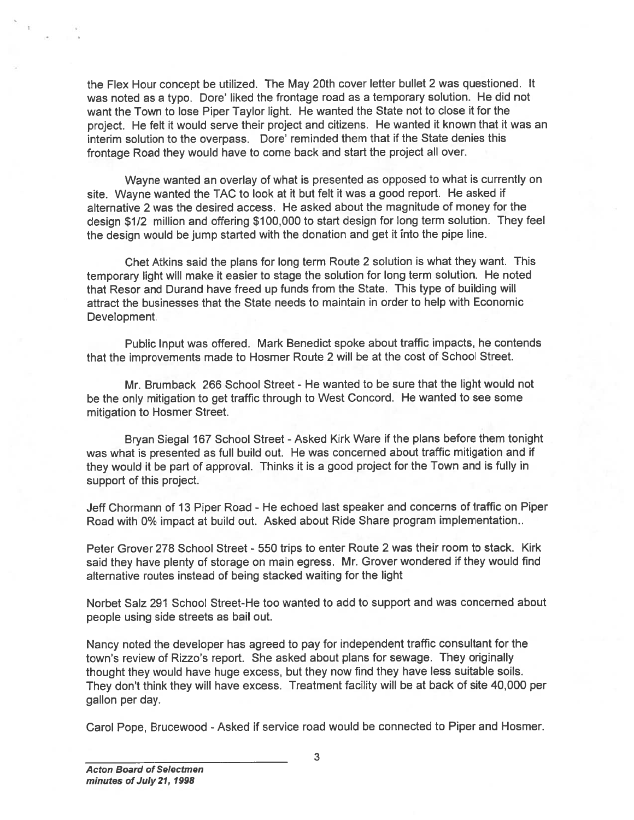the Flex Hour concep<sup>t</sup> be utilized. The May 20th cover letter bullet <sup>2</sup> was questioned. It was noted as a typo. Dore' liked the frontage road as a temporary solution. He did not want the Town to lose Piper Taylor light. He wanted the State not to close it for the project. He felt it would serve their project and citizens. He wanted it known that it was an interim solution to the overpass. Dore' reminded them that if the State denies this frontage Road they would have to come back and start the project all over. the Fiex Hour concept be utilized. The May 20th cover letter builet 2 was questioned. It want noted as a typoco Dore liked in from lago ea a ten porany solution. He did not the entropies and a service functions. He is din

Wayne wanted an overlay of what is presented as oppose<sup>d</sup> to what is currently on site. Wayne wanted the TAC to look at it but felt it was <sup>a</sup> goo<sup>d</sup> report. He asked if alternative 2 was the desired access. He asked about the magnitude of money for the design \$112 million and offering \$100,000 to start design for long term solution. They feel the design would be jump started with the donation and ge<sup>t</sup> it into the <sup>p</sup>ipe line.

Chet Atkins said the <sup>p</sup>lans for long term Route <sup>2</sup> solution is what they want. This temporary light will make it easier to stage the solution for long term solution. He noted that Resor and Durand have freed up funds from the State. This type of building will attract the businesses that the State needs to maintain in order to help with Economic Development.

Public Input was offered. Mark Benedict spoke about traffic impacts, he contends that the improvements made to Hosmer Route <sup>2</sup> will be at the cost of School Street.

Mr. Brumback 266 School Street - He wanted to be sure that the light would not be the only mitigation to ge<sup>t</sup> traffic through to West Concord. He wanted to see some mitigation to Hosmer Street.

Bryan Siegal 167 School Street - Asked Kirk Ware if the plans before them tonight was what is presented as full build out. He was concerned about traffic mitigation and if they would it be par<sup>t</sup> of approval. Thinks it is <sup>a</sup> goo<sup>d</sup> project for the Town and is fully in suppor<sup>t</sup> of this project.

Jeff Chormann of 13 Piper Road - He echoed last speaker and concerns of traffic on Piper Road with 0% impact at build out. Asked about Ride Share program implementation..

Peter Grover 278 School Street - 550 trips to enter Route 2 was their room to stack. Kirk said they have <sup>p</sup>lenty of storage on main egress. Mr. Grover wondered if they would find alternative routes instead of being stacked waiting for the light

Norbet Salz 291 School Street-He too wanted to add to suppor<sup>t</sup> and was concerned about people using side streets as bail out.

Nancy noted the developer has agree<sup>d</sup> to pay for independent traffic consultant for the town's review of Rizzo's report. She asked about <sup>p</sup>lans for sewage. They originally thought they would have huge excess, but they now find they have less suitable soils. They don't think they will have excess. Treatment facility will be at back of site 40,000 per gallon per day.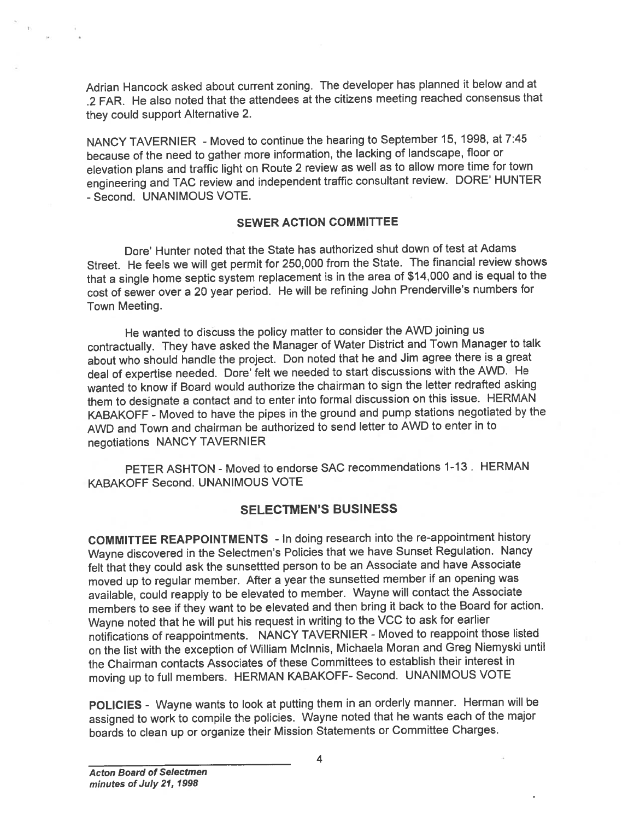Adrian Hancock asked about current zoning. The developer has <sup>p</sup>lanned it below and at .2 FAR. He also noted that the attendees at the citizens meeting reached consensus that they could suppor<sup>t</sup> Alternative 2.

NANCY TAVERNIER - Moved to continue the hearing to September 15, 1998, at 7:45 because of the need to gather more information, the lacking of landscape, floor or elevation <sup>p</sup>lans and traffic light on Route <sup>2</sup> review as well as to allow more time for town engineering and TAC review and independent traffic consultant review. DORE' HUNTER -Second. UNANIMOUS VOTE.

## SEWER ACTION COMMITTEE

Dore' Hunter noted that the State has authorized shut down of test at Adams Street. He feels we will ge<sup>t</sup> permit for 250,000 from the State. The financial review shows that <sup>a</sup> single home septic system replacement is in the area of \$14,000 and is equa<sup>l</sup> to the cost of sewer over <sup>a</sup> <sup>20</sup> year period. He will be refining John Prenderville's numbers for Town Meeting.

He wanted to discuss the policy matter to consider the AWD joining us contractually. They have asked the Manager of Water District and Town Manager to talk about who should handle the project. Don noted that he and Jim agree there is <sup>a</sup> grea<sup>t</sup> deal of expertise needed. Dore' felt we needed to start discussions with the AWD. He wanted to know if Board would authorize the chairman to sign the letter redrafted asking them to designate <sup>a</sup> contact and to enter into formal discussion on this issue. HERMAN KABAKOFF - Moved to have the <sup>p</sup>ipes in the groun<sup>d</sup> and pump stations negotiated by the AWD and Town and chairman be authorized to send letter to AWD to enter in to negotiations NANCY TAVERNIER

PETER ASHTON - Moved to endorse SAC recommendations 1-13. HERMAN KABAKOFF Second. UNANIMOUS VOTE

## SELECTMEN'S BUSINESS

COMMITTEE REAPPOINTMENTS - In doing research into the re-appointment history Wayne discovered in the Selectmen's Policies that we have Sunset Regulation. Nancy felt that they could ask the sunsettted person to be an Associate and have Associate moved up to regular member. After <sup>a</sup> year the sunsetted member if an opening was available, could reapply to be elevated to member. Wayne will contact the Associate members to see if they want to be elevated and then bring it back to the Board for action. Wayne noted that he will pu<sup>t</sup> his reques<sup>t</sup> in writing to the VCC to ask for earlier notifications of reappointments. NANCY TAVERNIER - Moved to reappoint those listed on the list with the exception of William Mclnnis, Michaela Moran and Greg Niemyski until the Chairman contacts Associates of these Committees to establish their interest in moving up to full members. HERMAN KABAKOFF- Second. UNANIMOUS VOTE

POLICIES - Wayne wants to look at putting them in an orderly manner. Herman will be assigned to work to compile the policies. Wayne noted that he wants each of the major boards to clean up or organize their Mission Statements or Committee Charges.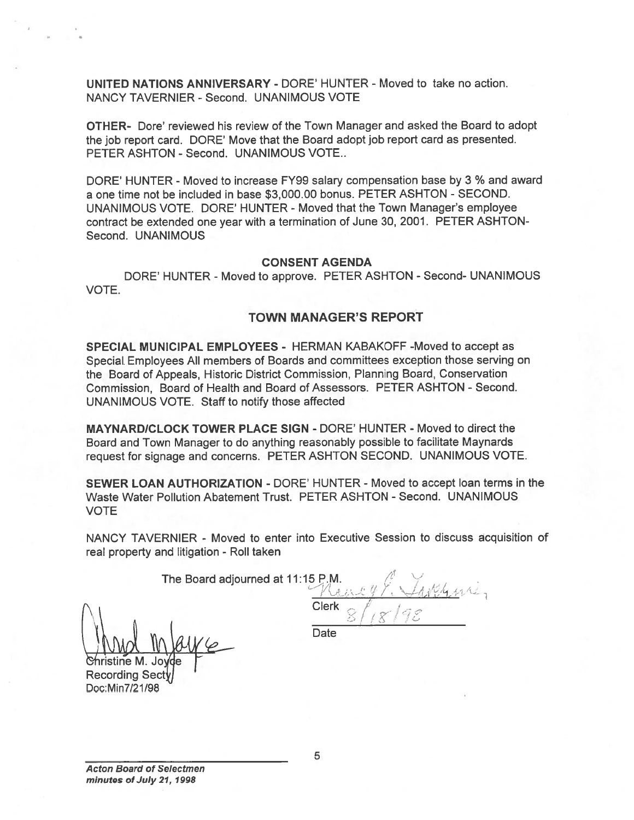UNITED NATIONS ANNIVERSARY - DORE' HUNTER - Moved to take no action. NANCY TAVERNIER - Second. UNANIMOUS VOTE

OTHER- Dote' teviewed his review of the Town Manager and asked the Board to adopt the job repor<sup>t</sup> card. DORE' Move that the Board adopt job repor<sup>t</sup> card as presented. PETER ASHTON - Second. UNANIMOUS VOTE...

DORE' HUNTER - Moved to increase FY99 salary compensation base by 3 % and award <sup>a</sup> one time not be included in base \$3,000.00 bonus. PETER ASHTON - SECOND. UNANIMOUS VOTE. DORE' HUNTER -Moved that the Town Manager's employee contract be extended one year with <sup>a</sup> termination of June 30, 2001. PETER ASHTON Second. UNANIMOUS UNITED NATIONS ANNIVERSARY - L<br>
NANCY TAVERNIER - Second. UNAN<br>
OTHER- Dore' reviewed his review of the job report card. DORE' Move that the<br>
PETER ASHTON - Second. UNANIMC<br>
DORE' HUNTER - Moved to increase Fa one time not

### CONSENT AGENDA

DORE' HUNTER - Moved to approve. PETER ASHTON - Second- UNANIMOUS VOTE.

#### TOWN MANAGER'S REPORT

SPECIAL MUNICIPAL EMPLOYEES - HERMAN KABAKOFF -Moved to accep<sup>t</sup> as Special. Employees All members of Boards and committees exception those serving on the Board of Appeals, Historic District Commission, Planning Board, Conservation Commission, Board of Health and Board of Assessors. PETER ASHTON - Second. UNANIMOUS VOTE. Staff to notify those affected

MAYNARDICLOCK TOWER PLACE SIGN - DORE' HUNTER - Moved to direct the Board and Town Manager to do anything reasonably possible to facilitate Maynards reques<sup>t</sup> for signage and concerns. PETER ASHTON SECOND. UNANIMOUS VOTE.

SEWER LOAN AUTHORIZATION - DORE' HUNTER - Moved to accep<sup>t</sup> loan terms in the Waste Water Pollution Abatement Trust. PETER ASHTON - Second. UNANIMOUS VOTE

NANCY TAVERNIER - Moved to enter into Executive Session to discuss acquisition of real property and litigation - Roll taken

The Board adjourned at 11:15 P.M.  $\left\langle \right\rangle$   $\mathcal{A}$  $U_1$ **Clerk** 

Christine M. Joyde Recording Sect

**Date**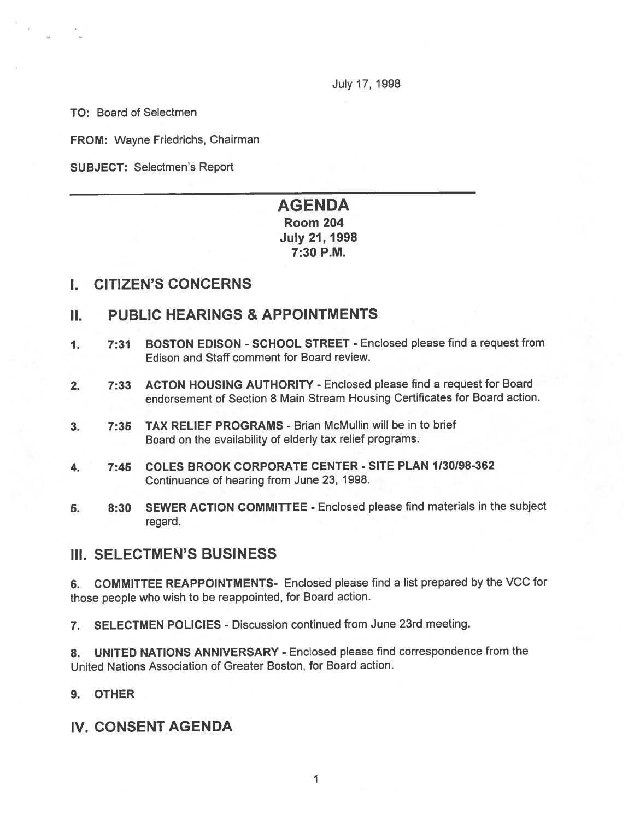July 17, 1998

TO: Board of Selectmen

FROM: Wayne Friedrichs, Chairman

SUBJECT: Selectmen's Report

# AGENDA Room 204 July 21, 1998

7:30 P.M.

## I. CITIZEN'S CONCERNS

# II. PUBLIC HEARINGS & APPOINTMENTS

- 1. 7:31 BOSTON EDISON SCHOOL STREET Enclosed please find <sup>a</sup> reques<sup>t</sup> from Edison and Staff comment for Board review.
- 2. 7:33 ACTON HOUSING AUTHORITY Enclosed please find <sup>a</sup> reques<sup>t</sup> for Board endorsement of Section 8 Main Stream Housing Certificates for Board action.
- 3. 7:35 TAX RELIEF PROGRAMS Brian McMullin will be in to brief Board on the availability of elderly tax relief programs.
- 4. 7:45 COLES BROOK CORPORATE CENTER SITE PLAN 1130198-362 Continuance of hearing from June 23, 1998.
- 5. 8:30 SEWER ACTION COMMITTEE Enclosed please find materials in the subject regard.

# III. SELECTMEN'S BUSINESS

6. COMMITTEE REAPPOINTMENTS- Enclosed <sup>p</sup>lease find <sup>a</sup> list prepared by the VCC for those people who wish to be reappointed, for Board action.

7. SELECTMEN POLICIES - Discussion continued from June 23rd meeting.

8. UNITED NATIONS ANNIVERSARY - Enclosed <sup>p</sup>lease find correspondence from the United Nations Association of Greater Boston, for Board action.

## 9. OTHER

# IV. CONSENT AGENDA